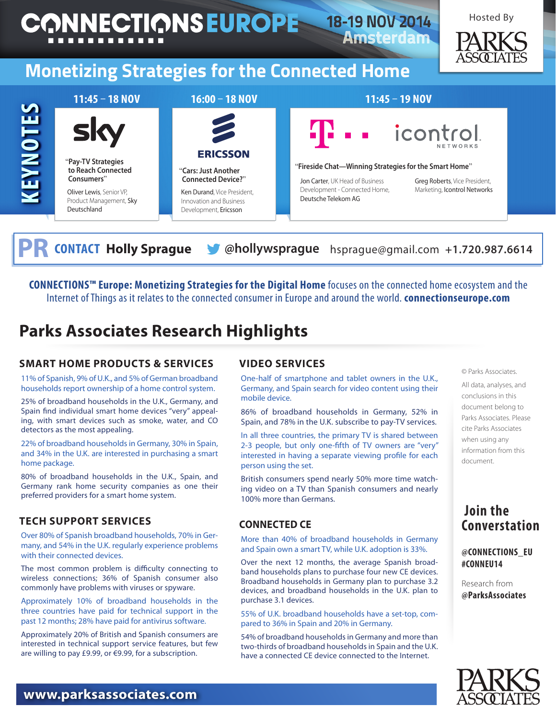

**CONTACT Holly Sprague & @hollywsprague** hsprague@gmail.com +1.720.987.6614

**CONNECTIONS™ Europe: Monetizing Strategies for the Digital Home** focuses on the connected home ecosystem and the Internet of Things as it relates to the connected consumer in Europe and around the world. **connectionseurope.com** 

## **Parks Associates Research Highlights**

#### **Smart Home Products & Services**

11% of Spanish, 9% of U.K., and 5% of German broadband households report ownership of a home control system.

25% of broadband households in the U.K., Germany, and Spain find individual smart home devices "very" appealing, with smart devices such as smoke, water, and CO detectors as the most appealing.

22% of broadband households in Germany, 30% in Spain, and 34% in the U.K. are interested in purchasing a smart home package.

80% of broadband households in the U.K., Spain, and Germany rank home security companies as one their preferred providers for a smart home system.

#### **Tech Support Services**

Over 80% of Spanish broadband households, 70% in Germany, and 54% in the U.K. regularly experience problems with their connected devices.

The most common problem is difficulty connecting to wireless connections; 36% of Spanish consumer also commonly have problems with viruses or spyware.

Approximately 10% of broadband households in the three countries have paid for technical support in the past 12 months; 28% have paid for antivirus software.

Approximately 20% of British and Spanish consumers are interested in technical support service features, but few are willing to pay £9.99, or €9.99, for a subscription.

#### **Video Services**

One-half of smartphone and tablet owners in the U.K., Germany, and Spain search for video content using their mobile device.

86% of broadband households in Germany, 52% in Spain, and 78% in the U.K. subscribe to pay-TV services.

In all three countries, the primary TV is shared between 2-3 people, but only one-fifth of TV owners are "very" interested in having a separate viewing profile for each person using the set.

British consumers spend nearly 50% more time watching video on a TV than Spanish consumers and nearly 100% more than Germans.

#### **Connected CE**

More than 40% of broadband households in Germany and Spain own a smart TV, while U.K. adoption is 33%.

Over the next 12 months, the average Spanish broadband households plans to purchase four new CE devices. Broadband households in Germany plan to purchase 3.2 devices, and broadband households in the U.K. plan to purchase 3.1 devices.

55% of U.K. broadband households have a set-top, compared to 36% in Spain and 20% in Germany.

54% of broadband households in Germany and more than two-thirds of broadband households in Spain and the U.K. have a connected CE device connected to the Internet.

© Parks Associates.

All data, analyses, and conclusions in this document belong to Parks Associates. Please cite Parks Associates when using any information from this document.

#### **Join the Converstation**

#### **@CONNECTIONS\_EU #CONNEU14**

Research from **@ParksAssociates**